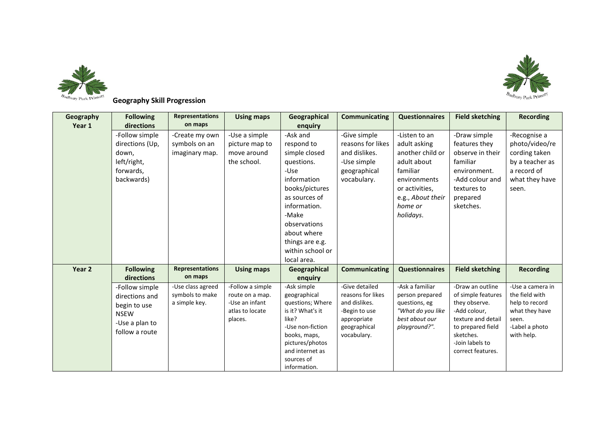



## **Geography Skill Progression**

| Geography<br>Year 1 | <b>Following</b><br>directions                                                                      | <b>Representations</b><br>on maps                     | <b>Using maps</b>                                                                   | Geographical<br>enquiry                                                                                                                                                                                                       | <b>Communicating</b>                                                                                                | <b>Questionnaires</b>                                                                                                                                       | <b>Field sketching</b>                                                                                                                                                  | <b>Recording</b>                                                                                                |
|---------------------|-----------------------------------------------------------------------------------------------------|-------------------------------------------------------|-------------------------------------------------------------------------------------|-------------------------------------------------------------------------------------------------------------------------------------------------------------------------------------------------------------------------------|---------------------------------------------------------------------------------------------------------------------|-------------------------------------------------------------------------------------------------------------------------------------------------------------|-------------------------------------------------------------------------------------------------------------------------------------------------------------------------|-----------------------------------------------------------------------------------------------------------------|
|                     | -Follow simple<br>directions (Up,<br>down.<br>left/right,<br>forwards,<br>backwards)                | -Create my own<br>symbols on an<br>imaginary map.     | -Use a simple<br>picture map to<br>move around<br>the school.                       | -Ask and<br>respond to<br>simple closed<br>questions.<br>-Use<br>information<br>books/pictures<br>as sources of<br>information.<br>-Make<br>observations<br>about where<br>things are e.g.<br>within school or<br>local area. | -Give simple<br>reasons for likes<br>and dislikes.<br>-Use simple<br>geographical<br>vocabulary.                    | -Listen to an<br>adult asking<br>another child or<br>adult about<br>familiar<br>environments<br>or activities,<br>e.g., About their<br>home or<br>holidays. | -Draw simple<br>features they<br>observe in their<br>familiar<br>environment.<br>-Add colour and<br>textures to<br>prepared<br>sketches.                                | -Recognise a<br>photo/video/re<br>cording taken<br>by a teacher as<br>a record of<br>what they have<br>seen.    |
| Year 2              | <b>Following</b><br>directions                                                                      | <b>Representations</b><br>on maps                     | <b>Using maps</b>                                                                   | Geographical<br>enguiry                                                                                                                                                                                                       | <b>Communicating</b>                                                                                                | <b>Questionnaires</b>                                                                                                                                       | <b>Field sketching</b>                                                                                                                                                  | <b>Recording</b>                                                                                                |
|                     | -Follow simple<br>directions and<br>begin to use<br><b>NSEW</b><br>-Use a plan to<br>follow a route | -Use class agreed<br>symbols to make<br>a simple key. | -Follow a simple<br>route on a map.<br>-Use an infant<br>atlas to locate<br>places. | -Ask simple<br>geographical<br>questions; Where<br>is it? What's it<br>like?<br>-Use non-fiction<br>books, maps,<br>pictures/photos<br>and internet as<br>sources of<br>information.                                          | -Give detailed<br>reasons for likes<br>and dislikes.<br>-Begin to use<br>appropriate<br>geographical<br>vocabulary. | -Ask a familiar<br>person prepared<br>questions, eg<br>"What do you like<br>best about our<br>playground?".                                                 | -Draw an outline<br>of simple features<br>they observe.<br>-Add colour,<br>texture and detail<br>to prepared field<br>sketches.<br>-Join labels to<br>correct features. | -Use a camera in<br>the field with<br>help to record<br>what they have<br>seen.<br>-Label a photo<br>with help. |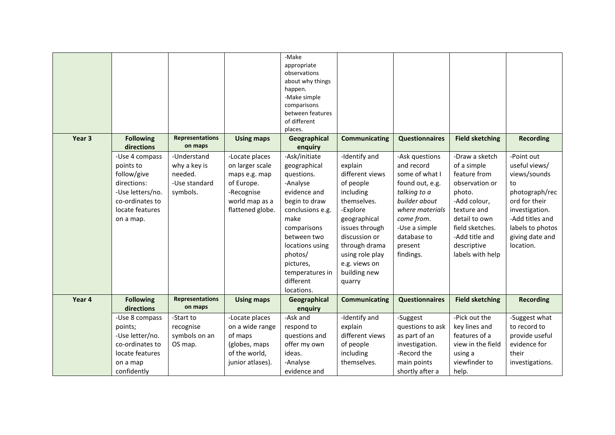| Year 3 | <b>Following</b>                | <b>Representations</b>            | <b>Using maps</b>            | -Make<br>appropriate<br>observations<br>about why things<br>happen.<br>-Make simple<br>comparisons<br>between features<br>of different<br>places.<br>Geographical | <b>Communicating</b>       | <b>Questionnaires</b>             | <b>Field sketching</b>         | <b>Recording</b>                |
|--------|---------------------------------|-----------------------------------|------------------------------|-------------------------------------------------------------------------------------------------------------------------------------------------------------------|----------------------------|-----------------------------------|--------------------------------|---------------------------------|
|        | directions                      | on maps                           |                              | enquiry                                                                                                                                                           |                            |                                   |                                |                                 |
|        | -Use 4 compass                  | -Understand                       | -Locate places               | -Ask/initiate                                                                                                                                                     | -Identify and              | -Ask questions                    | -Draw a sketch                 | -Point out                      |
|        | points to                       | why a key is                      | on larger scale              | geographical                                                                                                                                                      | explain                    | and record                        | of a simple                    | useful views/                   |
|        | follow/give                     | needed.                           | maps e.g. map                | questions.                                                                                                                                                        | different views            | some of what I                    | feature from                   | views/sounds                    |
|        | directions:<br>-Use letters/no. | -Use standard                     | of Europe.                   | -Analyse<br>evidence and                                                                                                                                          | of people                  | found out, e.g.                   | observation or                 | to                              |
|        | co-ordinates to                 | symbols.                          | -Recognise<br>world map as a | begin to draw                                                                                                                                                     | including<br>themselves.   | talking to a<br>builder about     | photo.<br>-Add colour,         | photograph/rec<br>ord for their |
|        | locate features                 |                                   | flattened globe.             | conclusions e.g.                                                                                                                                                  | -Explore                   | where materials                   | texture and                    | investigation.                  |
|        | on a map.                       |                                   |                              | make                                                                                                                                                              | geographical               | come from.                        | detail to own                  | -Add titles and                 |
|        |                                 |                                   |                              | comparisons                                                                                                                                                       | issues through             | -Use a simple                     | field sketches.                | labels to photos                |
|        |                                 |                                   |                              | between two                                                                                                                                                       | discussion or              | database to                       | -Add title and                 | giving date and                 |
|        |                                 |                                   |                              | locations using                                                                                                                                                   | through drama              | present                           | descriptive                    | location.                       |
|        |                                 |                                   |                              | photos/                                                                                                                                                           | using role play            | findings.                         | labels with help               |                                 |
|        |                                 |                                   |                              | pictures,                                                                                                                                                         | e.g. views on              |                                   |                                |                                 |
|        |                                 |                                   |                              | temperatures in                                                                                                                                                   | building new               |                                   |                                |                                 |
|        |                                 |                                   |                              | different                                                                                                                                                         | quarry                     |                                   |                                |                                 |
|        |                                 |                                   |                              | locations.                                                                                                                                                        |                            |                                   |                                |                                 |
| Year 4 | <b>Following</b>                | <b>Representations</b><br>on maps | <b>Using maps</b>            | Geographical                                                                                                                                                      | Communicating              | <b>Questionnaires</b>             | <b>Field sketching</b>         | <b>Recording</b>                |
|        | directions                      |                                   |                              | enquiry                                                                                                                                                           |                            |                                   |                                |                                 |
|        | -Use 8 compass                  | -Start to                         | -Locate places               | -Ask and                                                                                                                                                          | -Identify and              | -Suggest                          | -Pick out the                  | -Suggest what<br>to record to   |
|        | points;<br>-Use letter/no.      | recognise<br>symbols on an        | on a wide range<br>of maps   | respond to<br>questions and                                                                                                                                       | explain<br>different views | questions to ask<br>as part of an | key lines and<br>features of a | provide useful                  |
|        | co-ordinates to                 | OS map.                           | (globes, maps                | offer my own                                                                                                                                                      | of people                  | investigation.                    | view in the field              | evidence for                    |
|        | locate features                 |                                   | of the world,                | ideas.                                                                                                                                                            | including                  | -Record the                       | using a                        | their                           |
|        | on a map                        |                                   | junior atlases).             | -Analyse                                                                                                                                                          | themselves.                | main points                       | viewfinder to                  | investigations.                 |
|        | confidently                     |                                   |                              | evidence and                                                                                                                                                      |                            | shortly after a                   | help.                          |                                 |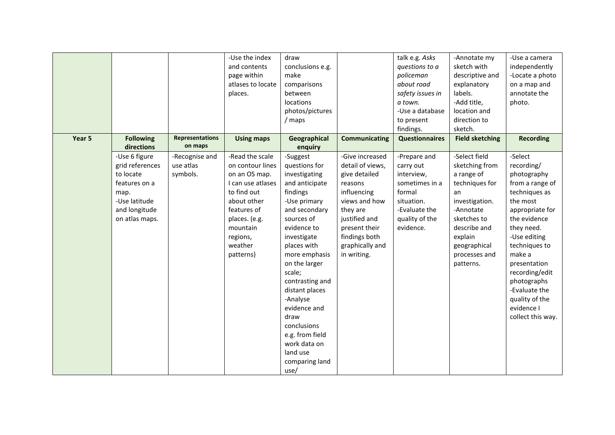| Year 5 | <b>Following</b>            | <b>Representations</b>    | -Use the index<br>and contents<br>page within<br>atlases to locate<br>places.<br><b>Using maps</b> | draw<br>conclusions e.g.<br>make<br>comparisons<br>between<br>locations<br>photos/pictures<br>/ maps<br>Geographical | <b>Communicating</b>           | talk e.g. Asks<br>questions to a<br>policeman<br>about road<br>safety issues in<br>a town.<br>-Use a database<br>to present<br>findings.<br><b>Questionnaires</b> | -Annotate my<br>sketch with<br>descriptive and<br>explanatory<br>labels.<br>-Add title,<br>location and<br>direction to<br>sketch.<br><b>Field sketching</b> | -Use a camera<br>independently<br>-Locate a photo<br>on a map and<br>annotate the<br>photo.<br><b>Recording</b> |
|--------|-----------------------------|---------------------------|----------------------------------------------------------------------------------------------------|----------------------------------------------------------------------------------------------------------------------|--------------------------------|-------------------------------------------------------------------------------------------------------------------------------------------------------------------|--------------------------------------------------------------------------------------------------------------------------------------------------------------|-----------------------------------------------------------------------------------------------------------------|
|        | directions<br>-Use 6 figure | on maps<br>-Recognise and | -Read the scale                                                                                    | enquiry<br>-Suggest                                                                                                  | -Give increased                | -Prepare and                                                                                                                                                      | -Select field                                                                                                                                                | -Select                                                                                                         |
|        | grid references             | use atlas                 | on contour lines                                                                                   | questions for                                                                                                        | detail of views,               | carry out                                                                                                                                                         | sketching from                                                                                                                                               | recording/                                                                                                      |
|        | to locate                   | symbols.                  | on an OS map.                                                                                      | investigating                                                                                                        | give detailed                  | interview,                                                                                                                                                        | a range of                                                                                                                                                   | photography                                                                                                     |
|        | features on a<br>map.       |                           | I can use atlases<br>to find out                                                                   | and anticipate<br>findings                                                                                           | reasons<br>influencing         | sometimes in a<br>formal                                                                                                                                          | techniques for<br>an                                                                                                                                         | from a range of<br>techniques as                                                                                |
|        | -Use latitude               |                           | about other                                                                                        | -Use primary                                                                                                         | views and how                  | situation.                                                                                                                                                        | investigation.                                                                                                                                               | the most                                                                                                        |
|        | and longitude               |                           | features of                                                                                        | and secondary                                                                                                        | they are                       | -Evaluate the                                                                                                                                                     | -Annotate                                                                                                                                                    | appropriate for                                                                                                 |
|        | on atlas maps.              |                           | places. (e.g.<br>mountain                                                                          | sources of<br>evidence to                                                                                            | justified and<br>present their | quality of the<br>evidence.                                                                                                                                       | sketches to<br>describe and                                                                                                                                  | the evidence<br>they need.                                                                                      |
|        |                             |                           | regions,                                                                                           | investigate                                                                                                          | findings both                  |                                                                                                                                                                   | explain                                                                                                                                                      | -Use editing                                                                                                    |
|        |                             |                           | weather                                                                                            | places with                                                                                                          | graphically and                |                                                                                                                                                                   | geographical                                                                                                                                                 | techniques to                                                                                                   |
|        |                             |                           | patterns)                                                                                          | more emphasis                                                                                                        | in writing.                    |                                                                                                                                                                   | processes and                                                                                                                                                | make a                                                                                                          |
|        |                             |                           |                                                                                                    | on the larger<br>scale;                                                                                              |                                |                                                                                                                                                                   | patterns.                                                                                                                                                    | presentation<br>recording/edit                                                                                  |
|        |                             |                           |                                                                                                    | contrasting and                                                                                                      |                                |                                                                                                                                                                   |                                                                                                                                                              | photographs                                                                                                     |
|        |                             |                           |                                                                                                    | distant places                                                                                                       |                                |                                                                                                                                                                   |                                                                                                                                                              | -Evaluate the                                                                                                   |
|        |                             |                           |                                                                                                    | -Analyse                                                                                                             |                                |                                                                                                                                                                   |                                                                                                                                                              | quality of the                                                                                                  |
|        |                             |                           |                                                                                                    | evidence and<br>draw                                                                                                 |                                |                                                                                                                                                                   |                                                                                                                                                              | evidence I<br>collect this way.                                                                                 |
|        |                             |                           |                                                                                                    | conclusions                                                                                                          |                                |                                                                                                                                                                   |                                                                                                                                                              |                                                                                                                 |
|        |                             |                           |                                                                                                    | e.g. from field                                                                                                      |                                |                                                                                                                                                                   |                                                                                                                                                              |                                                                                                                 |
|        |                             |                           |                                                                                                    | work data on                                                                                                         |                                |                                                                                                                                                                   |                                                                                                                                                              |                                                                                                                 |
|        |                             |                           |                                                                                                    | land use<br>comparing land                                                                                           |                                |                                                                                                                                                                   |                                                                                                                                                              |                                                                                                                 |
|        |                             |                           |                                                                                                    | use/                                                                                                                 |                                |                                                                                                                                                                   |                                                                                                                                                              |                                                                                                                 |